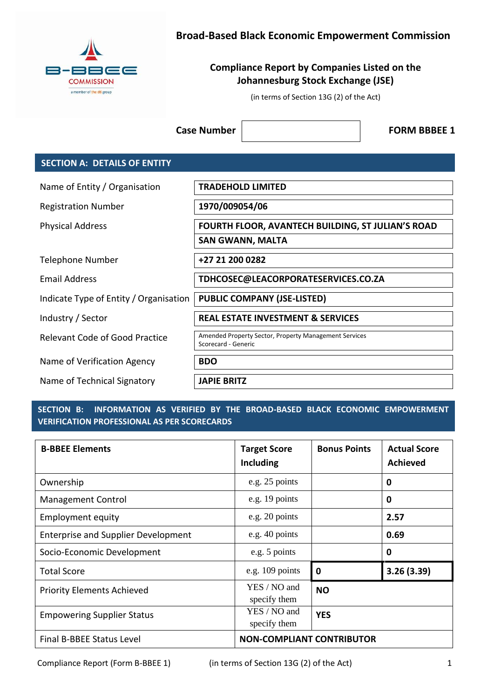

# **Broad-Based Black Economic Empowerment Commission**

# **Compliance Report by Companies Listed on the Johannesburg Stock Exchange (JSE)**

(in terms of Section 13G (2) of the Act)

**Case Number**  $\vert$  **FORM BBBEE 1** 

## **SECTION A: DETAILS OF ENTITY**

| Name of Entity / Organisation          | <b>TRADEHOLD LIMITED</b>                                                     |
|----------------------------------------|------------------------------------------------------------------------------|
| <b>Registration Number</b>             | 1970/009054/06                                                               |
| <b>Physical Address</b>                | FOURTH FLOOR, AVANTECH BUILDING, ST JULIAN'S ROAD                            |
|                                        | <b>SAN GWANN, MALTA</b>                                                      |
| <b>Telephone Number</b>                | +27 21 200 0282                                                              |
| Email Address                          | TDHCOSEC@LEACORPORATESERVICES.CO.ZA                                          |
| Indicate Type of Entity / Organisation | <b>PUBLIC COMPANY (JSE-LISTED)</b>                                           |
| Industry / Sector                      | <b>REAL ESTATE INVESTMENT &amp; SERVICES</b>                                 |
| Relevant Code of Good Practice         | Amended Property Sector, Property Management Services<br>Scorecard - Generic |
| Name of Verification Agency            | <b>BDO</b>                                                                   |
| Name of Technical Signatory            | <b>JAPIE BRITZ</b>                                                           |

### **SECTION B: INFORMATION AS VERIFIED BY THE BROAD-BASED BLACK ECONOMIC EMPOWERMENT VERIFICATION PROFESSIONAL AS PER SCORECARDS**

| <b>B-BBEE Elements</b>                     | <b>Target Score</b><br><b>Including</b> | <b>Bonus Points</b> | <b>Actual Score</b><br><b>Achieved</b> |
|--------------------------------------------|-----------------------------------------|---------------------|----------------------------------------|
| Ownership                                  | e.g. 25 points                          |                     | 0                                      |
| <b>Management Control</b>                  | e.g. 19 points                          |                     | 0                                      |
| <b>Employment equity</b>                   | e.g. 20 points                          |                     | 2.57                                   |
| <b>Enterprise and Supplier Development</b> | e.g. 40 points                          |                     | 0.69                                   |
| Socio-Economic Development                 | e.g. 5 points                           |                     | 0                                      |
| <b>Total Score</b>                         | e.g. $109$ points                       | 0                   | 3.26(3.39)                             |
| <b>Priority Elements Achieved</b>          | YES / NO and<br>specify them            | <b>NO</b>           |                                        |
| <b>Empowering Supplier Status</b>          | YES / NO and<br>specify them            | <b>YES</b>          |                                        |
| Final B-BBEE Status Level                  | <b>NON-COMPLIANT CONTRIBUTOR</b>        |                     |                                        |